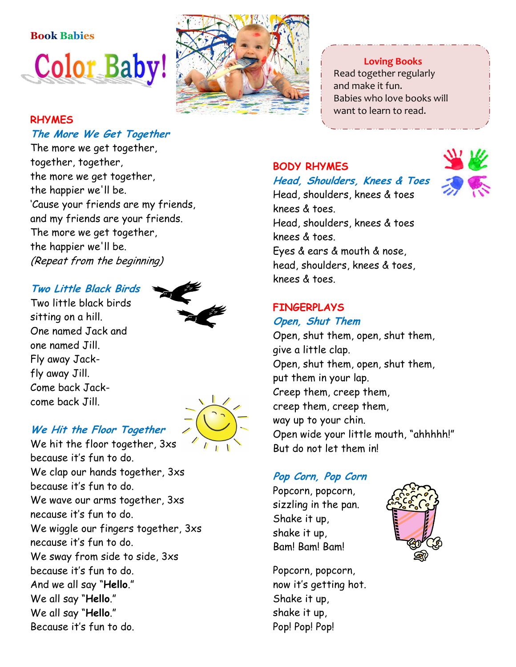# Book Babies **Color Baby!**



#### Loving Books

 Read together regularly and make it fun. Babies who love books will want to learn to read.

#### **RHYMES** The More We Get Together

The more we get together, together, together, the more we get together, the happier we'll be. 'Cause your friends are my friends, and my friends are your friends. The more we get together, the happier we'll be. (Repeat from the beginning)

#### Two Little Black Birds

Two little black birds sitting on a hill. One named Jack and one named Jill. Fly away Jackfly away Jill. Come back Jackcome back Jill.





#### We Hit the Floor Together

We hit the floor together, 3xs because it's fun to do. We clap our hands together, 3xs because it's fun to do. We wave our arms together, 3xs necause it's fun to do. We wiggle our fingers together, 3xs necause it's fun to do. We sway from side to side, 3xs because it's fun to do. And we all say "Hello." We all say "Hello." We all say "Hello." Because it's fun to do.

#### BODY RHYMES

#### Head, Shoulders, Knees & Toes

Head, shoulders, knees & toes knees & toes. Head, shoulders, knees & toes knees & toes. Eyes & ears & mouth & nose, head, shoulders, knees & toes, knees & toes.

#### FINGERPLAYS

#### Open, Shut Them

Open, shut them, open, shut them, give a little clap. Open, shut them, open, shut them, put them in your lap. Creep them, creep them, creep them, creep them, way up to your chin. Open wide your little mouth, "ahhhhh!" But do not let them in!

#### Pop Corn, Pop Corn

Popcorn, popcorn, sizzling in the pan. Shake it up, shake it up, Bam! Bam! Bam!

Popcorn, popcorn, now it's getting hot. Shake it up, shake it up, Pop! Pop! Pop!